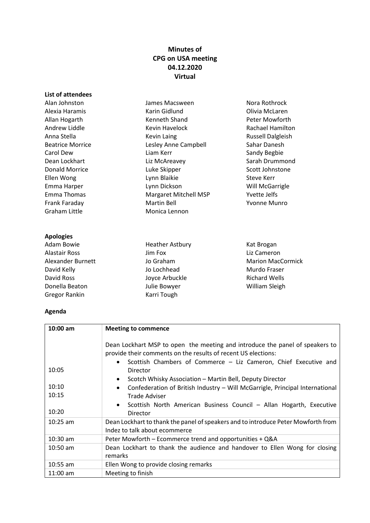## **Minutes of CPG on USA meeting 04.12.2020 Virtual**

| List of attendees       |                       |                          |
|-------------------------|-----------------------|--------------------------|
| Alan Johnston           | James Macsween        | Nora Rothrock            |
| Alexia Haramis          | Karin Gidlund         | Olivia McLaren           |
| Allan Hogarth           | Kenneth Shand         | Peter Mowforth           |
| Andrew Liddle           | Kevin Havelock        | <b>Rachael Hamilton</b>  |
| Anna Stella             | <b>Kevin Laing</b>    | <b>Russell Dalgleish</b> |
| <b>Beatrice Morrice</b> | Lesley Anne Campbell  | Sahar Danesh             |
| Carol Dew               | Liam Kerr             | Sandy Begbie             |
| Dean Lockhart           | Liz McAreavey         | Sarah Drummond           |
| Donald Morrice          | Luke Skipper          | Scott Johnstone          |
| Ellen Wong              | Lynn Blaikie          | Steve Kerr               |
| Emma Harper             | Lynn Dickson          | Will McGarrigle          |
| Emma Thomas             | Margaret Mitchell MSP | Yvette Jelfs             |
| Frank Faraday           | <b>Martin Bell</b>    | Yvonne Munro             |
| Graham Little           | Monica Lennon         |                          |
| <b>Apologies</b>        |                       |                          |

### Adam Bowie Alastair Ross Alexander Burnett David Kelly David Ross Donella Beaton Gregor Rankin

Heather Astbury Jim Fox Jo Graham Jo Lochhead Joyce Arbuckle Julie Bowyer Karri Tough

Kat Brogan Liz Cameron Marion MacCormick Murdo Fraser Richard Wells William Sleigh

# **Agenda**

| $10:00$ am              | <b>Meeting to commence</b>                                                                                                                                                                                                                                                                                                                                                                                                        |  |
|-------------------------|-----------------------------------------------------------------------------------------------------------------------------------------------------------------------------------------------------------------------------------------------------------------------------------------------------------------------------------------------------------------------------------------------------------------------------------|--|
| 10:05<br>10:10<br>10:15 | Dean Lockhart MSP to open the meeting and introduce the panel of speakers to<br>provide their comments on the results of recent US elections:<br>Scottish Chambers of Commerce - Liz Cameron, Chief Executive and<br>$\bullet$<br>Director<br>Scotch Whisky Association - Martin Bell, Deputy Director<br>$\bullet$<br>Confederation of British Industry - Will McGarrigle, Principal International<br>$\bullet$<br>Trade Adviser |  |
|                         | Scottish North American Business Council - Allan Hogarth, Executive<br>$\bullet$                                                                                                                                                                                                                                                                                                                                                  |  |
| 10:20                   | Director                                                                                                                                                                                                                                                                                                                                                                                                                          |  |
| $10:25$ am              | Dean Lockhart to thank the panel of speakers and to introduce Peter Mowforth from<br>Indez to talk about ecommerce                                                                                                                                                                                                                                                                                                                |  |
| $10:30$ am              | Peter Mowforth - Ecommerce trend and opportunities + Q&A                                                                                                                                                                                                                                                                                                                                                                          |  |
| $10:50$ am              | Dean Lockhart to thank the audience and handover to Ellen Wong for closing<br>remarks                                                                                                                                                                                                                                                                                                                                             |  |
| $10:55$ am              | Ellen Wong to provide closing remarks                                                                                                                                                                                                                                                                                                                                                                                             |  |
| $11:00$ am              | Meeting to finish                                                                                                                                                                                                                                                                                                                                                                                                                 |  |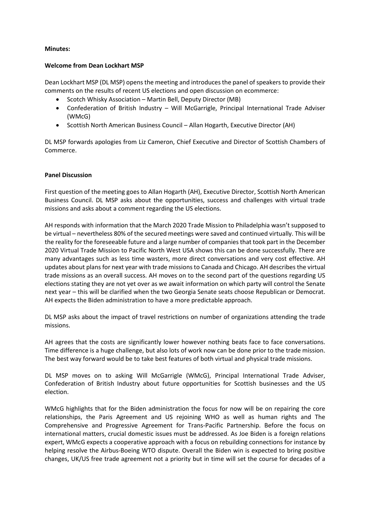#### **Minutes:**

### **Welcome from Dean Lockhart MSP**

Dean Lockhart MSP (DL MSP) opens the meeting and introduces the panel of speakers to provide their comments on the results of recent US elections and open discussion on ecommerce:

- Scotch Whisky Association Martin Bell, Deputy Director (MB)
- Confederation of British Industry Will McGarrigle, Principal International Trade Adviser (WMcG)
- Scottish North American Business Council Allan Hogarth, Executive Director (AH)

DL MSP forwards apologies from Liz Cameron, Chief Executive and Director of Scottish Chambers of Commerce.

### **Panel Discussion**

First question of the meeting goes to Allan Hogarth (AH), Executive Director, Scottish North American Business Council. DL MSP asks about the opportunities, success and challenges with virtual trade missions and asks about a comment regarding the US elections.

AH responds with information that the March 2020 Trade Mission to Philadelphia wasn't supposed to be virtual – nevertheless 80% of the secured meetings were saved and continued virtually. This will be the reality for the foreseeable future and a large number of companiesthat took part in the December 2020 Virtual Trade Mission to Pacific North West USA shows this can be done successfully. There are many advantages such as less time wasters, more direct conversations and very cost effective. AH updates about plans for next year with trade missionsto Canada and Chicago. AH describes the virtual trade missions as an overall success. AH moves on to the second part of the questions regarding US elections stating they are not yet over as we await information on which party will control the Senate next year – this will be clarified when the two Georgia Senate seats choose Republican or Democrat. AH expects the Biden administration to have a more predictable approach.

DL MSP asks about the impact of travel restrictions on number of organizations attending the trade missions.

AH agrees that the costs are significantly lower however nothing beats face to face conversations. Time difference is a huge challenge, but also lots of work now can be done prior to the trade mission. The best way forward would be to take best features of both virtual and physical trade missions.

DL MSP moves on to asking Will McGarrigle (WMcG), Principal International Trade Adviser, Confederation of British Industry about future opportunities for Scottish businesses and the US election.

WMcG highlights that for the Biden administration the focus for now will be on repairing the core relationships, the Paris Agreement and US rejoining WHO as well as human rights and The Comprehensive and Progressive Agreement for Trans-Pacific Partnership. Before the focus on international matters, crucial domestic issues must be addressed. As Joe Biden is a foreign relations expert, WMcG expects a cooperative approach with a focus on rebuilding connections for instance by helping resolve the Airbus-Boeing WTO dispute. Overall the Biden win is expected to bring positive changes, UK/US free trade agreement not a priority but in time will set the course for decades of a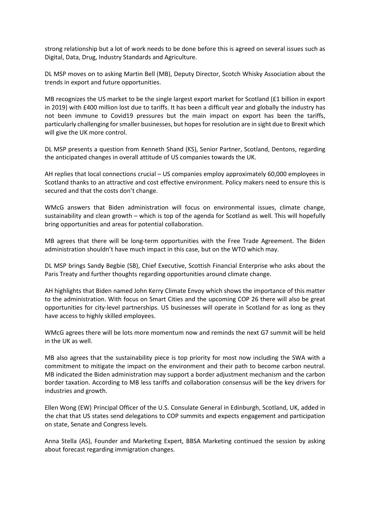strong relationship but a lot of work needs to be done before this is agreed on several issues such as Digital, Data, Drug, Industry Standards and Agriculture.

DL MSP moves on to asking Martin Bell (MB), Deputy Director, Scotch Whisky Association about the trends in export and future opportunities.

MB recognizes the US market to be the single largest export market for Scotland (£1 billion in export in 2019) with £400 million lost due to tariffs. It has been a difficult year and globally the industry has not been immune to Covid19 pressures but the main impact on export has been the tariffs, particularly challenging forsmaller businesses, but hopesfor resolution are in sight due to Brexit which will give the UK more control.

DL MSP presents a question from Kenneth Shand (KS), Senior Partner, Scotland, Dentons, regarding the anticipated changes in overall attitude of US companies towards the UK.

AH replies that local connections crucial – US companies employ approximately 60,000 employees in Scotland thanks to an attractive and cost effective environment. Policy makers need to ensure this is secured and that the costs don't change.

WMcG answers that Biden administration will focus on environmental issues, climate change, sustainability and clean growth – which is top of the agenda for Scotland as well. This will hopefully bring opportunities and areas for potential collaboration.

MB agrees that there will be long-term opportunities with the Free Trade Agreement. The Biden administration shouldn't have much impact in this case, but on the WTO which may.

DL MSP brings Sandy Begbie (SB), Chief Executive, Scottish Financial Enterprise who asks about the Paris Treaty and further thoughts regarding opportunities around climate change.

AH highlights that Biden named John Kerry Climate Envoy which shows the importance of this matter to the administration. With focus on Smart Cities and the upcoming COP 26 there will also be great opportunities for city-level partnerships. US businesses will operate in Scotland for as long as they have access to highly skilled employees.

WMcG agrees there will be lots more momentum now and reminds the next G7 summit will be held in the UK as well.

MB also agrees that the sustainability piece is top priority for most now including the SWA with a commitment to mitigate the impact on the environment and their path to become carbon neutral. MB indicated the Biden administration may support a border adjustment mechanism and the carbon border taxation. According to MB less tariffs and collaboration consensus will be the key drivers for industries and growth.

Ellen Wong (EW) Principal Officer of the U.S. Consulate General in Edinburgh, Scotland, UK, added in the chat that US states send delegations to COP summits and expects engagement and participation on state, Senate and Congress levels.

Anna Stella (AS), Founder and Marketing Expert, BBSA Marketing continued the session by asking about forecast regarding immigration changes.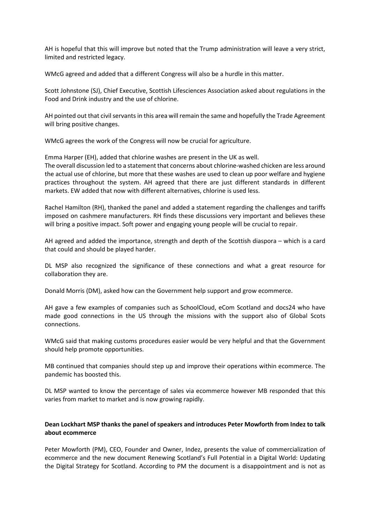AH is hopeful that this will improve but noted that the Trump administration will leave a very strict, limited and restricted legacy.

WMcG agreed and added that a different Congress will also be a hurdle in this matter.

Scott Johnstone (SJ), Chief Executive, Scottish Lifesciences Association asked about regulations in the Food and Drink industry and the use of chlorine.

AH pointed out that civil servants in this area will remain the same and hopefully the Trade Agreement will bring positive changes.

WMcG agrees the work of the Congress will now be crucial for agriculture.

Emma Harper (EH), added that chlorine washes are present in the UK as well. The overall discussion led to a statement that concerns about chlorine-washed chicken are less around the actual use of chlorine, but more that these washes are used to clean up poor welfare and hygiene practices throughout the system. AH agreed that there are just different standards in different markets. EW added that now with different alternatives, chlorine is used less.

Rachel Hamilton (RH), thanked the panel and added a statement regarding the challenges and tariffs imposed on cashmere manufacturers. RH finds these discussions very important and believes these will bring a positive impact. Soft power and engaging young people will be crucial to repair.

AH agreed and added the importance, strength and depth of the Scottish diaspora – which is a card that could and should be played harder.

DL MSP also recognized the significance of these connections and what a great resource for collaboration they are.

Donald Morris (DM), asked how can the Government help support and grow ecommerce.

AH gave a few examples of companies such as SchoolCloud, eCom Scotland and docs24 who have made good connections in the US through the missions with the support also of Global Scots connections.

WMcG said that making customs procedures easier would be very helpful and that the Government should help promote opportunities.

MB continued that companies should step up and improve their operations within ecommerce. The pandemic has boosted this.

DL MSP wanted to know the percentage of sales via ecommerce however MB responded that this varies from market to market and is now growing rapidly.

### **Dean Lockhart MSP thanks the panel of speakers and introduces Peter Mowforth from Indez to talk about ecommerce**

Peter Mowforth (PM), CEO, Founder and Owner, Indez, presents the value of commercialization of ecommerce and the new document Renewing Scotland's Full Potential in a Digital World: Updating the Digital Strategy for Scotland. According to PM the document is a disappointment and is not as